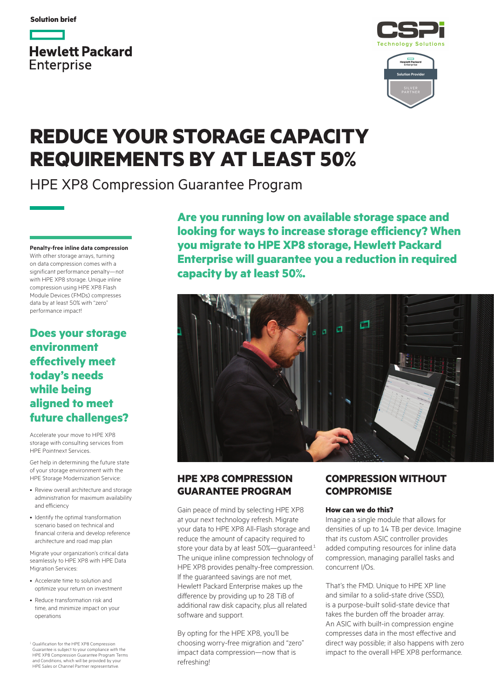**Solution brief**







# **REDUCE YOUR STORAGE CAPACITY REQUIREMENTS BY AT LEAST 50%**

HPE XP8 Compression Guarantee Program

**Penalty-free inline data compression** With other storage arrays, turning on data compression comes with a significant performance penalty—not with HPE XP8 storage. Unique inline compression using HPE XP8 Flash Module Devices (FMDs) compresses data by at least 50% with "zero" performance impact!

## **Does your storage environment effectively meet today's needs while being aligned to meet future challenges?**

Accelerate your move to HPE XP8 storage with consulting services from HPE Pointnext Services.

Get help in determining the future state of your storage environment with the HPE Storage Modernization Service:

- Review overall architecture and storage administration for maximum availability and efficiency
- Identify the optimal transformation scenario based on technical and financial criteria and develop reference architecture and road map plan

Migrate your organization's critical data seamlessly to HPE XP8 with HPE Data Migration Services:

- Accelerate time to solution and optimize your return on investment
- Reduce transformation risk and time, and minimize impact on your operations

<sup>1</sup> Qualification for the HPE XP8 Compression Guarantee is subject to your compliance with the HPE XP8 Compression Guarantee Program Terms and Conditions, which will be provided by your HPE Sales or Channel Partner representative.

**Are you running low on available storage space and looking for ways to increase storage efficiency? When you migrate to HPE XP8 storage, Hewlett Packard Enterprise will guarantee you a reduction in required capacity by at least 50%.**



## **HPE XP8 COMPRESSION GUARANTEE PROGRAM**

Gain peace of mind by selecting HPE XP8 at your next technology refresh. Migrate your data to HPE XP8 All-Flash storage and reduce the amount of capacity required to store your data by at least 50%—guaranteed.<sup>1</sup> The unique inline compression technology of HPE XP8 provides penalty-free compression. If the guaranteed savings are not met, Hewlett Packard Enterprise makes up the difference by providing up to 28 TiB of additional raw disk capacity, plus all related software and support.

By opting for the HPE XP8, you'll be choosing worry-free migration and "zero" impact data compression—now that is refreshing!

## **COMPRESSION WITHOUT COMPROMISE**

#### **How can we do this?**

Imagine a single module that allows for densities of up to 14 TB per device. Imagine that its custom ASIC controller provides added computing resources for inline data compression, managing parallel tasks and concurrent I/Os.

That's the FMD. Unique to HPE XP line and similar to a solid-state drive (SSD), is a purpose-built solid-state device that takes the burden off the broader array. An ASIC with built-in compression engine compresses data in the most effective and direct way possible; it also happens with zero impact to the overall HPE XP8 performance.